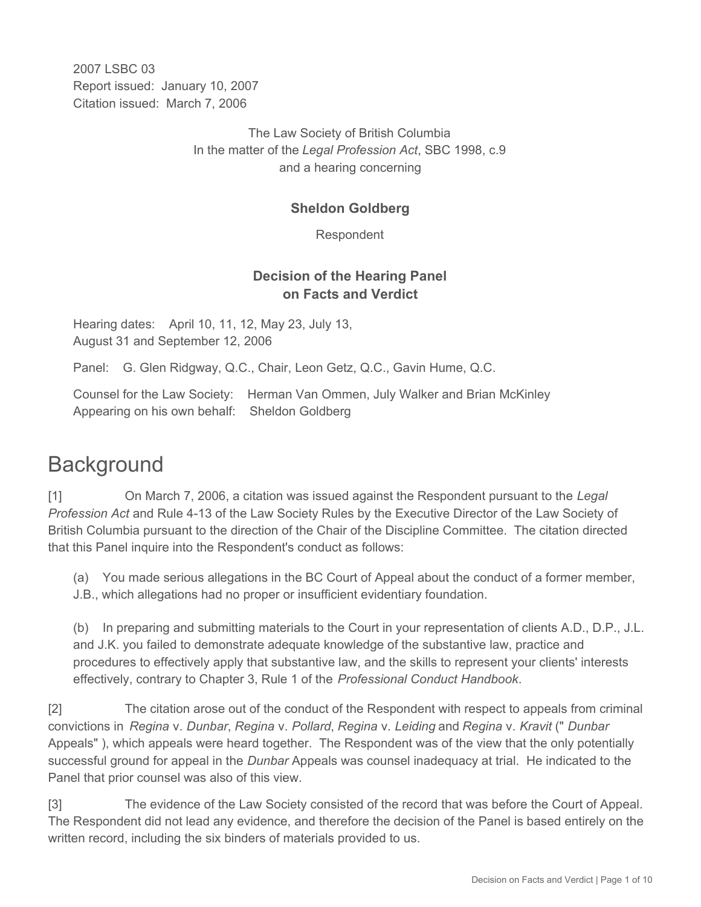2007 LSBC 03 Report issued: January 10, 2007 Citation issued: March 7, 2006

> The Law Society of British Columbia In the matter of the *Legal Profession Act*, SBC 1998, c.9 and a hearing concerning

### **Sheldon Goldberg**

Respondent

## **Decision of the Hearing Panel on Facts and Verdict**

Hearing dates: April 10, 11, 12, May 23, July 13, August 31 and September 12, 2006

Panel: G. Glen Ridgway, Q.C., Chair, Leon Getz, Q.C., Gavin Hume, Q.C.

Counsel for the Law Society: Herman Van Ommen, July Walker and Brian McKinley Appearing on his own behalf: Sheldon Goldberg

# **Background**

[1] On March 7, 2006, a citation was issued against the Respondent pursuant to the *Legal Profession Act* and Rule 4-13 of the Law Society Rules by the Executive Director of the Law Society of British Columbia pursuant to the direction of the Chair of the Discipline Committee. The citation directed that this Panel inquire into the Respondent's conduct as follows:

(a) You made serious allegations in the BC Court of Appeal about the conduct of a former member, J.B., which allegations had no proper or insufficient evidentiary foundation.

(b) In preparing and submitting materials to the Court in your representation of clients A.D., D.P., J.L. and J.K. you failed to demonstrate adequate knowledge of the substantive law, practice and procedures to effectively apply that substantive law, and the skills to represent your clients' interests effectively, contrary to Chapter 3, Rule 1 of the *Professional Conduct Handbook*.

[2] The citation arose out of the conduct of the Respondent with respect to appeals from criminal convictions in *Regina* v. *Dunbar*, *Regina* v. *Pollard*, *Regina* v. *Leiding* and *Regina* v. *Kravit* (" *Dunbar* Appeals" ), which appeals were heard together. The Respondent was of the view that the only potentially successful ground for appeal in the *Dunbar* Appeals was counsel inadequacy at trial. He indicated to the Panel that prior counsel was also of this view.

[3] The evidence of the Law Society consisted of the record that was before the Court of Appeal. The Respondent did not lead any evidence, and therefore the decision of the Panel is based entirely on the written record, including the six binders of materials provided to us.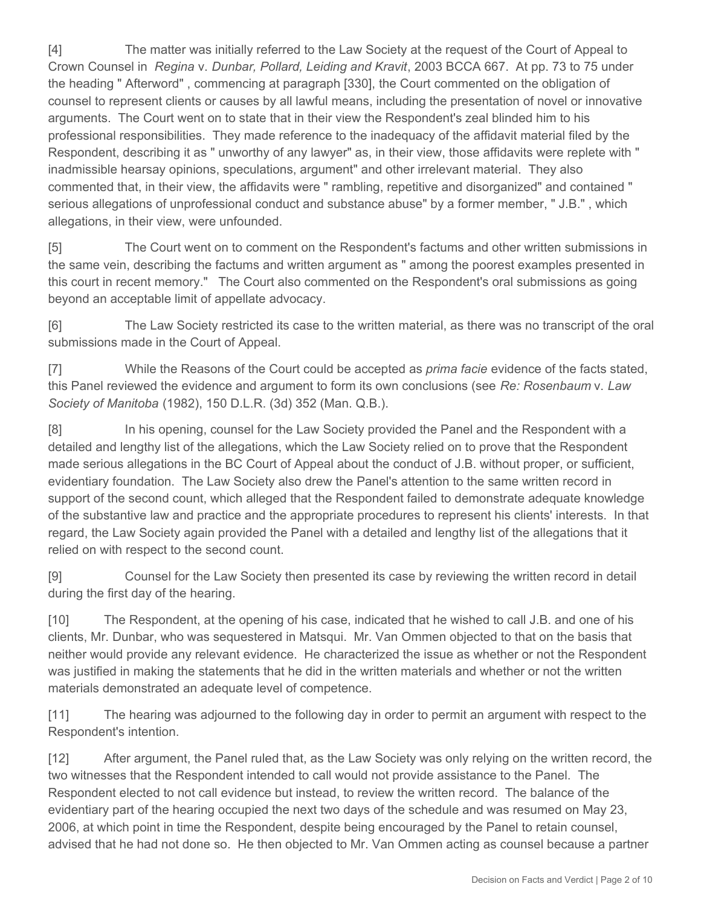[4] The matter was initially referred to the Law Society at the request of the Court of Appeal to Crown Counsel in *Regina* v. *Dunbar, Pollard, Leiding and Kravit*, 2003 BCCA 667. At pp. 73 to 75 under the heading " Afterword" , commencing at paragraph [330], the Court commented on the obligation of counsel to represent clients or causes by all lawful means, including the presentation of novel or innovative arguments. The Court went on to state that in their view the Respondent's zeal blinded him to his professional responsibilities. They made reference to the inadequacy of the affidavit material filed by the Respondent, describing it as " unworthy of any lawyer" as, in their view, those affidavits were replete with " inadmissible hearsay opinions, speculations, argument" and other irrelevant material. They also commented that, in their view, the affidavits were " rambling, repetitive and disorganized" and contained " serious allegations of unprofessional conduct and substance abuse" by a former member, " J.B." , which allegations, in their view, were unfounded.

[5] The Court went on to comment on the Respondent's factums and other written submissions in the same vein, describing the factums and written argument as " among the poorest examples presented in this court in recent memory." The Court also commented on the Respondent's oral submissions as going beyond an acceptable limit of appellate advocacy.

[6] The Law Society restricted its case to the written material, as there was no transcript of the oral submissions made in the Court of Appeal.

[7] While the Reasons of the Court could be accepted as *prima facie* evidence of the facts stated, this Panel reviewed the evidence and argument to form its own conclusions (see *Re: Rosenbaum* v. *Law Society of Manitoba* (1982), 150 D.L.R. (3d) 352 (Man. Q.B.).

[8] In his opening, counsel for the Law Society provided the Panel and the Respondent with a detailed and lengthy list of the allegations, which the Law Society relied on to prove that the Respondent made serious allegations in the BC Court of Appeal about the conduct of J.B. without proper, or sufficient, evidentiary foundation. The Law Society also drew the Panel's attention to the same written record in support of the second count, which alleged that the Respondent failed to demonstrate adequate knowledge of the substantive law and practice and the appropriate procedures to represent his clients' interests. In that regard, the Law Society again provided the Panel with a detailed and lengthy list of the allegations that it relied on with respect to the second count.

[9] Counsel for the Law Society then presented its case by reviewing the written record in detail during the first day of the hearing.

[10] The Respondent, at the opening of his case, indicated that he wished to call J.B. and one of his clients, Mr. Dunbar, who was sequestered in Matsqui. Mr. Van Ommen objected to that on the basis that neither would provide any relevant evidence. He characterized the issue as whether or not the Respondent was justified in making the statements that he did in the written materials and whether or not the written materials demonstrated an adequate level of competence.

[11] The hearing was adjourned to the following day in order to permit an argument with respect to the Respondent's intention.

[12] After argument, the Panel ruled that, as the Law Society was only relying on the written record, the two witnesses that the Respondent intended to call would not provide assistance to the Panel. The Respondent elected to not call evidence but instead, to review the written record. The balance of the evidentiary part of the hearing occupied the next two days of the schedule and was resumed on May 23, 2006, at which point in time the Respondent, despite being encouraged by the Panel to retain counsel, advised that he had not done so. He then objected to Mr. Van Ommen acting as counsel because a partner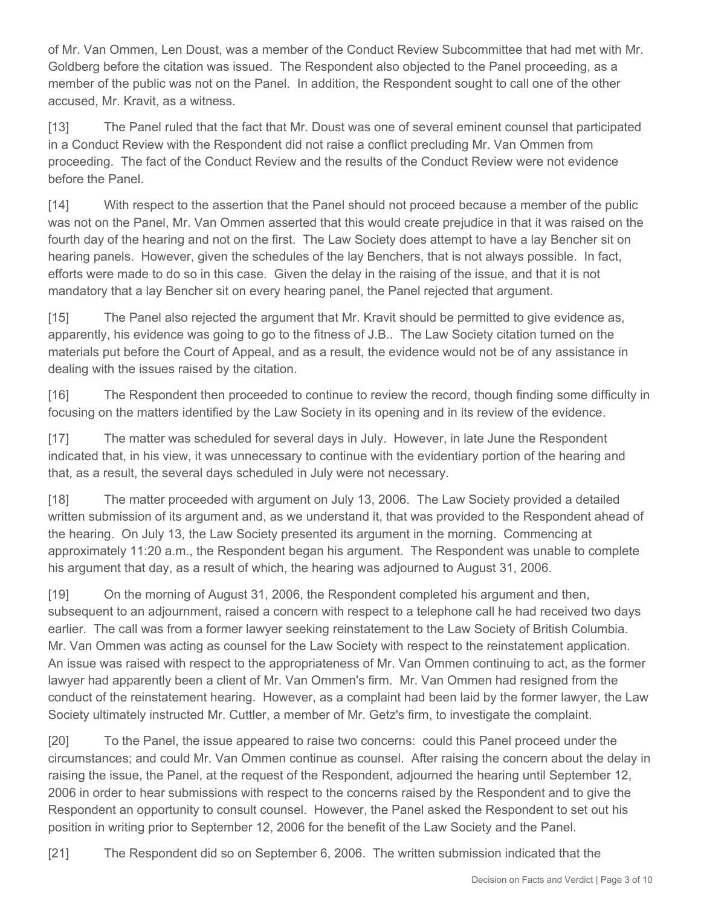of Mr. Van Ommen, Len Doust, was a member of the Conduct Review Subcommittee that had met with Mr. Goldberg before the citation was issued. The Respondent also objected to the Panel proceeding, as a member of the public was not on the Panel. In addition, the Respondent sought to call one of the other accused, Mr. Kravit, as a witness.

[13] The Panel ruled that the fact that Mr. Doust was one of several eminent counsel that participated in a Conduct Review with the Respondent did not raise a conflict precluding Mr. Van Ommen from proceeding. The fact of the Conduct Review and the results of the Conduct Review were not evidence before the Panel.

[14] With respect to the assertion that the Panel should not proceed because a member of the public was not on the Panel, Mr. Van Ommen asserted that this would create prejudice in that it was raised on the fourth day of the hearing and not on the first. The Law Society does attempt to have a lay Bencher sit on hearing panels. However, given the schedules of the lay Benchers, that is not always possible. In fact, efforts were made to do so in this case. Given the delay in the raising of the issue, and that it is not mandatory that a lay Bencher sit on every hearing panel, the Panel rejected that argument.

[15] The Panel also rejected the argument that Mr. Kravit should be permitted to give evidence as, apparently, his evidence was going to go to the fitness of J.B.. The Law Society citation turned on the materials put before the Court of Appeal, and as a result, the evidence would not be of any assistance in dealing with the issues raised by the citation.

[16] The Respondent then proceeded to continue to review the record, though finding some difficulty in focusing on the matters identified by the Law Society in its opening and in its review of the evidence.

[17] The matter was scheduled for several days in July. However, in late June the Respondent indicated that, in his view, it was unnecessary to continue with the evidentiary portion of the hearing and that, as a result, the several days scheduled in July were not necessary.

[18] The matter proceeded with argument on July 13, 2006. The Law Society provided a detailed written submission of its argument and, as we understand it, that was provided to the Respondent ahead of the hearing. On July 13, the Law Society presented its argument in the morning. Commencing at approximately 11:20 a.m., the Respondent began his argument. The Respondent was unable to complete his argument that day, as a result of which, the hearing was adjourned to August 31, 2006.

[19] On the morning of August 31, 2006, the Respondent completed his argument and then, subsequent to an adjournment, raised a concern with respect to a telephone call he had received two days earlier. The call was from a former lawyer seeking reinstatement to the Law Society of British Columbia. Mr. Van Ommen was acting as counsel for the Law Society with respect to the reinstatement application. An issue was raised with respect to the appropriateness of Mr. Van Ommen continuing to act, as the former lawyer had apparently been a client of Mr. Van Ommen's firm. Mr. Van Ommen had resigned from the conduct of the reinstatement hearing. However, as a complaint had been laid by the former lawyer, the Law Society ultimately instructed Mr. Cuttler, a member of Mr. Getz's firm, to investigate the complaint.

[20] To the Panel, the issue appeared to raise two concerns: could this Panel proceed under the circumstances; and could Mr. Van Ommen continue as counsel. After raising the concern about the delay in raising the issue, the Panel, at the request of the Respondent, adjourned the hearing until September 12, 2006 in order to hear submissions with respect to the concerns raised by the Respondent and to give the Respondent an opportunity to consult counsel. However, the Panel asked the Respondent to set out his position in writing prior to September 12, 2006 for the benefit of the Law Society and the Panel.

[21] The Respondent did so on September 6, 2006. The written submission indicated that the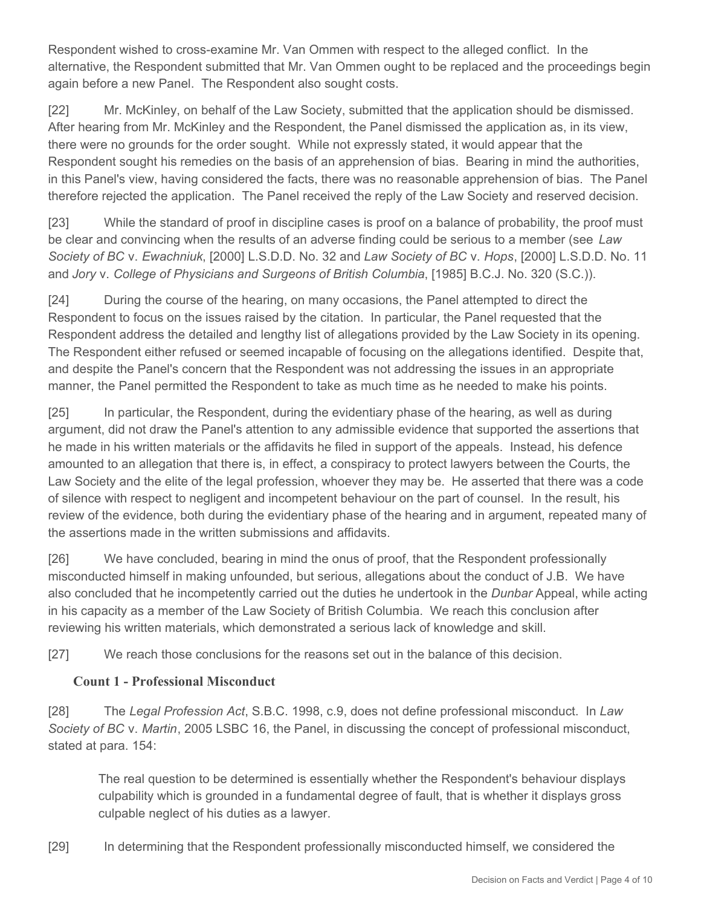Respondent wished to cross-examine Mr. Van Ommen with respect to the alleged conflict. In the alternative, the Respondent submitted that Mr. Van Ommen ought to be replaced and the proceedings begin again before a new Panel. The Respondent also sought costs.

[22] Mr. McKinley, on behalf of the Law Society, submitted that the application should be dismissed. After hearing from Mr. McKinley and the Respondent, the Panel dismissed the application as, in its view, there were no grounds for the order sought. While not expressly stated, it would appear that the Respondent sought his remedies on the basis of an apprehension of bias. Bearing in mind the authorities, in this Panel's view, having considered the facts, there was no reasonable apprehension of bias. The Panel therefore rejected the application. The Panel received the reply of the Law Society and reserved decision.

[23] While the standard of proof in discipline cases is proof on a balance of probability, the proof must be clear and convincing when the results of an adverse finding could be serious to a member (see *Law Society of BC* v. *Ewachniuk*, [2000] L.S.D.D. No. 32 and *Law Society of BC* v. *Hops*, [2000] L.S.D.D. No. 11 and *Jory* v. *College of Physicians and Surgeons of British Columbia*, [1985] B.C.J. No. 320 (S.C.)).

[24] During the course of the hearing, on many occasions, the Panel attempted to direct the Respondent to focus on the issues raised by the citation. In particular, the Panel requested that the Respondent address the detailed and lengthy list of allegations provided by the Law Society in its opening. The Respondent either refused or seemed incapable of focusing on the allegations identified. Despite that, and despite the Panel's concern that the Respondent was not addressing the issues in an appropriate manner, the Panel permitted the Respondent to take as much time as he needed to make his points.

[25] In particular, the Respondent, during the evidentiary phase of the hearing, as well as during argument, did not draw the Panel's attention to any admissible evidence that supported the assertions that he made in his written materials or the affidavits he filed in support of the appeals. Instead, his defence amounted to an allegation that there is, in effect, a conspiracy to protect lawyers between the Courts, the Law Society and the elite of the legal profession, whoever they may be. He asserted that there was a code of silence with respect to negligent and incompetent behaviour on the part of counsel. In the result, his review of the evidence, both during the evidentiary phase of the hearing and in argument, repeated many of the assertions made in the written submissions and affidavits.

[26] We have concluded, bearing in mind the onus of proof, that the Respondent professionally misconducted himself in making unfounded, but serious, allegations about the conduct of J.B. We have also concluded that he incompetently carried out the duties he undertook in the *Dunbar* Appeal, while acting in his capacity as a member of the Law Society of British Columbia. We reach this conclusion after reviewing his written materials, which demonstrated a serious lack of knowledge and skill.

[27] We reach those conclusions for the reasons set out in the balance of this decision.

## **Count 1 - Professional Misconduct**

[28] The *Legal Profession Act*, S.B.C. 1998, c.9, does not define professional misconduct. In *Law Society of BC* v. *Martin*, 2005 LSBC 16, the Panel, in discussing the concept of professional misconduct, stated at para. 154:

The real question to be determined is essentially whether the Respondent's behaviour displays culpability which is grounded in a fundamental degree of fault, that is whether it displays gross culpable neglect of his duties as a lawyer.

[29] In determining that the Respondent professionally misconducted himself, we considered the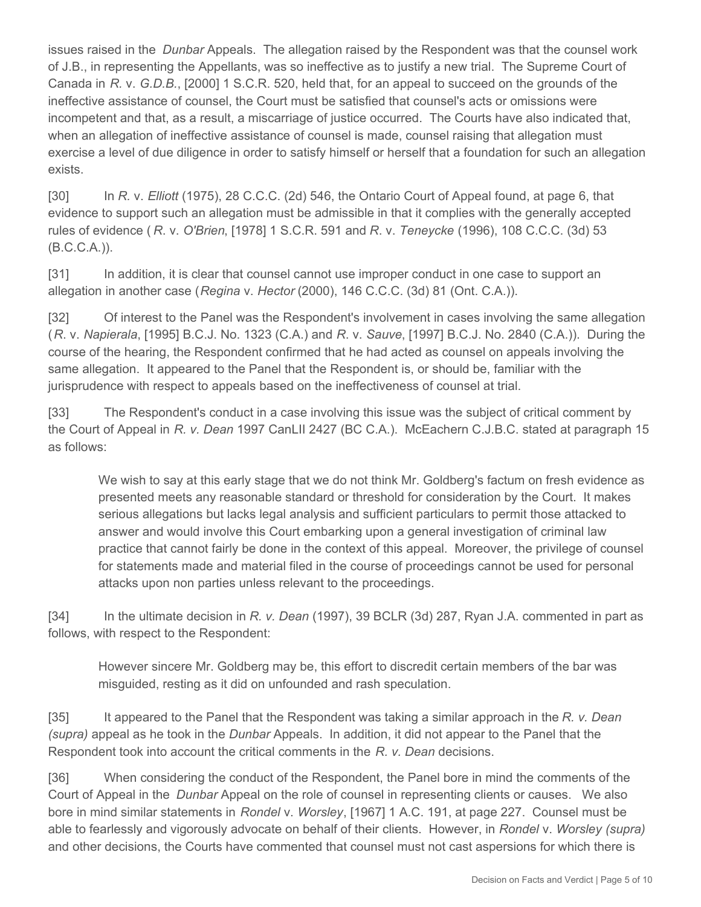issues raised in the *Dunbar* Appeals. The allegation raised by the Respondent was that the counsel work of J.B., in representing the Appellants, was so ineffective as to justify a new trial. The Supreme Court of Canada in *R.* v. *G.D.B.*, [2000] 1 S.C.R. 520, held that, for an appeal to succeed on the grounds of the ineffective assistance of counsel, the Court must be satisfied that counsel's acts or omissions were incompetent and that, as a result, a miscarriage of justice occurred. The Courts have also indicated that, when an allegation of ineffective assistance of counsel is made, counsel raising that allegation must exercise a level of due diligence in order to satisfy himself or herself that a foundation for such an allegation exists.

[30] In *R.* v. *Elliott* (1975), 28 C.C.C. (2d) 546, the Ontario Court of Appeal found, at page 6, that evidence to support such an allegation must be admissible in that it complies with the generally accepted rules of evidence ( *R*. v. *O'Brien*, [1978] 1 S.C.R. 591 and *R*. v. *Teneycke* (1996), 108 C.C.C. (3d) 53 (B.C.C.A.)).

[31] In addition, it is clear that counsel cannot use improper conduct in one case to support an allegation in another case (*Regina* v. *Hector* (2000), 146 C.C.C. (3d) 81 (Ont. C.A.)).

[32] Of interest to the Panel was the Respondent's involvement in cases involving the same allegation (*R*. v. *Napierala*, [1995] B.C.J. No. 1323 (C.A.) and *R*. v. *Sauve*, [1997] B.C.J. No. 2840 (C.A.)). During the course of the hearing, the Respondent confirmed that he had acted as counsel on appeals involving the same allegation. It appeared to the Panel that the Respondent is, or should be, familiar with the jurisprudence with respect to appeals based on the ineffectiveness of counsel at trial.

[33] The Respondent's conduct in a case involving this issue was the subject of critical comment by the Court of Appeal in *R. v. Dean* 1997 CanLII 2427 (BC C.A.). McEachern C.J.B.C. stated at paragraph 15 as follows:

We wish to say at this early stage that we do not think Mr. Goldberg's factum on fresh evidence as presented meets any reasonable standard or threshold for consideration by the Court. It makes serious allegations but lacks legal analysis and sufficient particulars to permit those attacked to answer and would involve this Court embarking upon a general investigation of criminal law practice that cannot fairly be done in the context of this appeal. Moreover, the privilege of counsel for statements made and material filed in the course of proceedings cannot be used for personal attacks upon non parties unless relevant to the proceedings.

[34] In the ultimate decision in *R. v. Dean* (1997), 39 BCLR (3d) 287, Ryan J.A. commented in part as follows, with respect to the Respondent:

However sincere Mr. Goldberg may be, this effort to discredit certain members of the bar was misguided, resting as it did on unfounded and rash speculation.

[35] It appeared to the Panel that the Respondent was taking a similar approach in the *R. v. Dean (supra)* appeal as he took in the *Dunbar* Appeals. In addition, it did not appear to the Panel that the Respondent took into account the critical comments in the *R. v. Dean* decisions.

[36] When considering the conduct of the Respondent, the Panel bore in mind the comments of the Court of Appeal in the *Dunbar* Appeal on the role of counsel in representing clients or causes. We also bore in mind similar statements in *Rondel* v. *Worsley*, [1967] 1 A.C. 191, at page 227. Counsel must be able to fearlessly and vigorously advocate on behalf of their clients. However, in *Rondel* v. *Worsley (supra)* and other decisions, the Courts have commented that counsel must not cast aspersions for which there is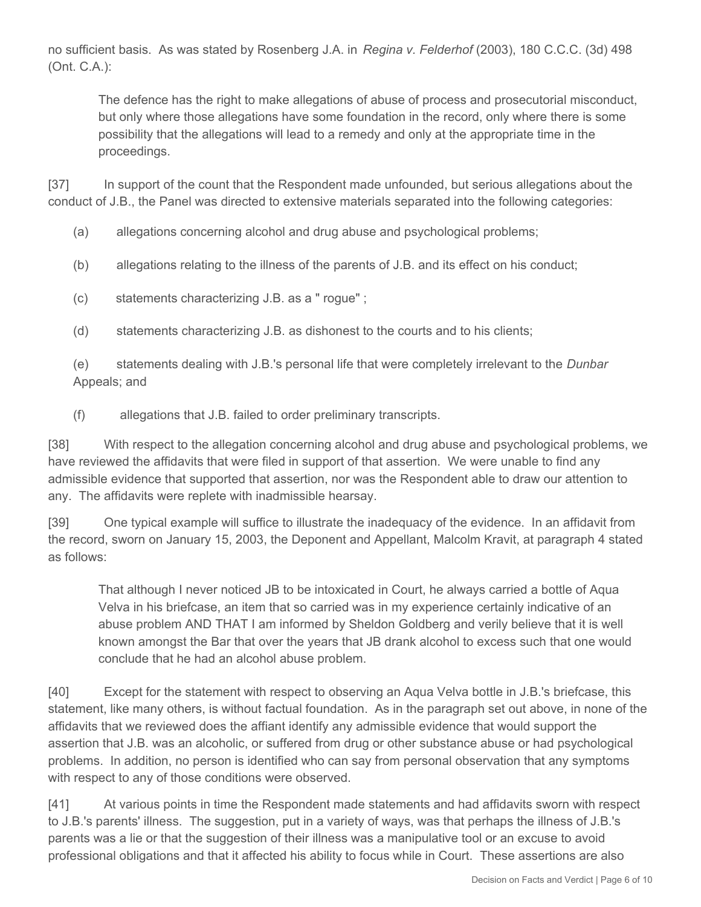no sufficient basis. As was stated by Rosenberg J.A. in *Regina v. Felderhof* (2003), 180 C.C.C. (3d) 498 (Ont. C.A.):

The defence has the right to make allegations of abuse of process and prosecutorial misconduct, but only where those allegations have some foundation in the record, only where there is some possibility that the allegations will lead to a remedy and only at the appropriate time in the proceedings.

[37] In support of the count that the Respondent made unfounded, but serious allegations about the conduct of J.B., the Panel was directed to extensive materials separated into the following categories:

- (a) allegations concerning alcohol and drug abuse and psychological problems;
- (b) allegations relating to the illness of the parents of J.B. and its effect on his conduct;
- (c) statements characterizing J.B. as a " rogue" ;
- (d) statements characterizing J.B. as dishonest to the courts and to his clients;

(e) statements dealing with J.B.'s personal life that were completely irrelevant to the *Dunbar* Appeals; and

(f) allegations that J.B. failed to order preliminary transcripts.

[38] With respect to the allegation concerning alcohol and drug abuse and psychological problems, we have reviewed the affidavits that were filed in support of that assertion. We were unable to find any admissible evidence that supported that assertion, nor was the Respondent able to draw our attention to any. The affidavits were replete with inadmissible hearsay.

[39] One typical example will suffice to illustrate the inadequacy of the evidence. In an affidavit from the record, sworn on January 15, 2003, the Deponent and Appellant, Malcolm Kravit, at paragraph 4 stated as follows:

That although I never noticed JB to be intoxicated in Court, he always carried a bottle of Aqua Velva in his briefcase, an item that so carried was in my experience certainly indicative of an abuse problem AND THAT I am informed by Sheldon Goldberg and verily believe that it is well known amongst the Bar that over the years that JB drank alcohol to excess such that one would conclude that he had an alcohol abuse problem.

[40] Except for the statement with respect to observing an Aqua Velva bottle in J.B.'s briefcase, this statement, like many others, is without factual foundation. As in the paragraph set out above, in none of the affidavits that we reviewed does the affiant identify any admissible evidence that would support the assertion that J.B. was an alcoholic, or suffered from drug or other substance abuse or had psychological problems. In addition, no person is identified who can say from personal observation that any symptoms with respect to any of those conditions were observed.

[41] At various points in time the Respondent made statements and had affidavits sworn with respect to J.B.'s parents' illness. The suggestion, put in a variety of ways, was that perhaps the illness of J.B.'s parents was a lie or that the suggestion of their illness was a manipulative tool or an excuse to avoid professional obligations and that it affected his ability to focus while in Court. These assertions are also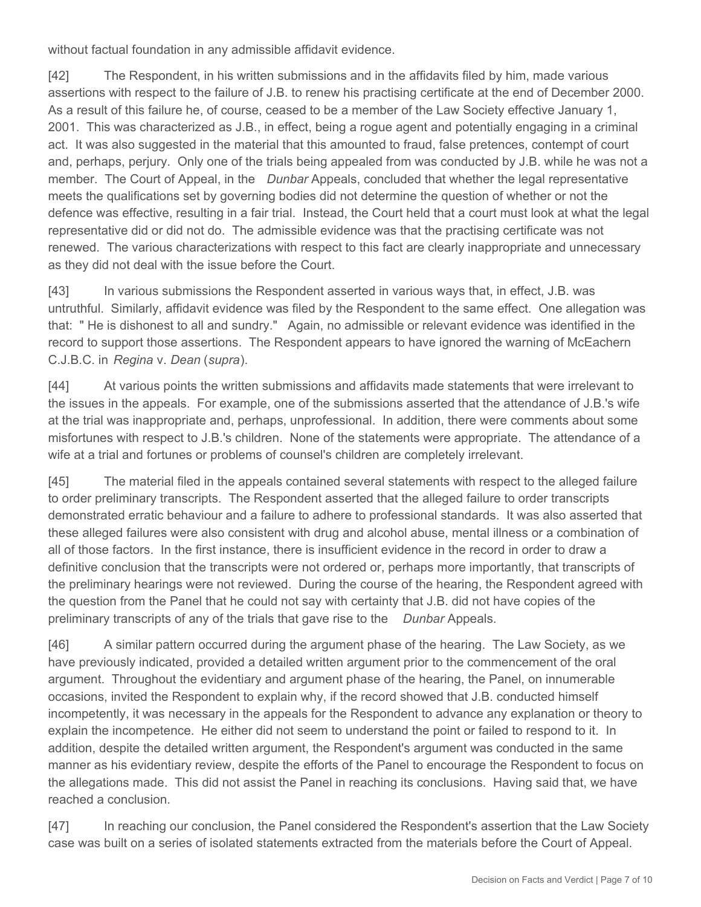without factual foundation in any admissible affidavit evidence.

[42] The Respondent, in his written submissions and in the affidavits filed by him, made various assertions with respect to the failure of J.B. to renew his practising certificate at the end of December 2000. As a result of this failure he, of course, ceased to be a member of the Law Society effective January 1, 2001. This was characterized as J.B., in effect, being a rogue agent and potentially engaging in a criminal act. It was also suggested in the material that this amounted to fraud, false pretences, contempt of court and, perhaps, perjury. Only one of the trials being appealed from was conducted by J.B. while he was not a member. The Court of Appeal, in the *Dunbar* Appeals, concluded that whether the legal representative meets the qualifications set by governing bodies did not determine the question of whether or not the defence was effective, resulting in a fair trial. Instead, the Court held that a court must look at what the legal representative did or did not do. The admissible evidence was that the practising certificate was not renewed. The various characterizations with respect to this fact are clearly inappropriate and unnecessary as they did not deal with the issue before the Court.

[43] In various submissions the Respondent asserted in various ways that, in effect, J.B. was untruthful. Similarly, affidavit evidence was filed by the Respondent to the same effect. One allegation was that: " He is dishonest to all and sundry." Again, no admissible or relevant evidence was identified in the record to support those assertions. The Respondent appears to have ignored the warning of McEachern C.J.B.C. in *Regina* v. *Dean* (*supra*).

[44] At various points the written submissions and affidavits made statements that were irrelevant to the issues in the appeals. For example, one of the submissions asserted that the attendance of J.B.'s wife at the trial was inappropriate and, perhaps, unprofessional. In addition, there were comments about some misfortunes with respect to J.B.'s children. None of the statements were appropriate. The attendance of a wife at a trial and fortunes or problems of counsel's children are completely irrelevant.

[45] The material filed in the appeals contained several statements with respect to the alleged failure to order preliminary transcripts. The Respondent asserted that the alleged failure to order transcripts demonstrated erratic behaviour and a failure to adhere to professional standards. It was also asserted that these alleged failures were also consistent with drug and alcohol abuse, mental illness or a combination of all of those factors. In the first instance, there is insufficient evidence in the record in order to draw a definitive conclusion that the transcripts were not ordered or, perhaps more importantly, that transcripts of the preliminary hearings were not reviewed. During the course of the hearing, the Respondent agreed with the question from the Panel that he could not say with certainty that J.B. did not have copies of the preliminary transcripts of any of the trials that gave rise to the *Dunbar* Appeals.

[46] A similar pattern occurred during the argument phase of the hearing. The Law Society, as we have previously indicated, provided a detailed written argument prior to the commencement of the oral argument. Throughout the evidentiary and argument phase of the hearing, the Panel, on innumerable occasions, invited the Respondent to explain why, if the record showed that J.B. conducted himself incompetently, it was necessary in the appeals for the Respondent to advance any explanation or theory to explain the incompetence. He either did not seem to understand the point or failed to respond to it. In addition, despite the detailed written argument, the Respondent's argument was conducted in the same manner as his evidentiary review, despite the efforts of the Panel to encourage the Respondent to focus on the allegations made. This did not assist the Panel in reaching its conclusions. Having said that, we have reached a conclusion.

[47] In reaching our conclusion, the Panel considered the Respondent's assertion that the Law Society case was built on a series of isolated statements extracted from the materials before the Court of Appeal.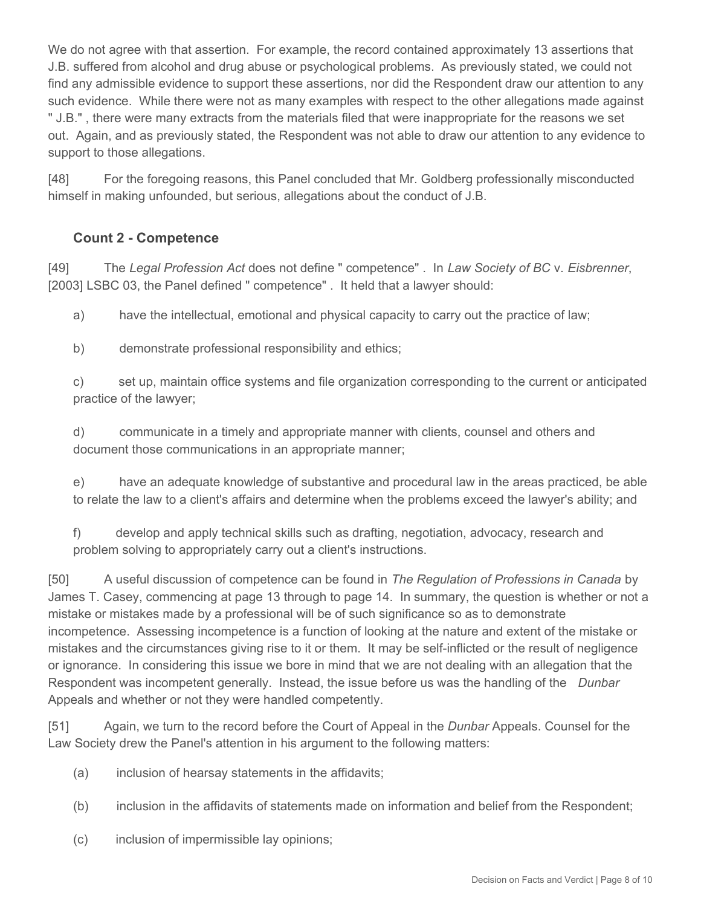We do not agree with that assertion. For example, the record contained approximately 13 assertions that J.B. suffered from alcohol and drug abuse or psychological problems. As previously stated, we could not find any admissible evidence to support these assertions, nor did the Respondent draw our attention to any such evidence. While there were not as many examples with respect to the other allegations made against " J.B." , there were many extracts from the materials filed that were inappropriate for the reasons we set out. Again, and as previously stated, the Respondent was not able to draw our attention to any evidence to support to those allegations.

[48] For the foregoing reasons, this Panel concluded that Mr. Goldberg professionally misconducted himself in making unfounded, but serious, allegations about the conduct of J.B.

## **Count 2 - Competence**

[49] The *Legal Profession Act* does not define " competence" . In *Law Society of BC* v. *Eisbrenner*, [2003] LSBC 03, the Panel defined " competence" . It held that a lawyer should:

a) have the intellectual, emotional and physical capacity to carry out the practice of law;

b) demonstrate professional responsibility and ethics;

c) set up, maintain office systems and file organization corresponding to the current or anticipated practice of the lawyer;

d) communicate in a timely and appropriate manner with clients, counsel and others and document those communications in an appropriate manner;

e) have an adequate knowledge of substantive and procedural law in the areas practiced, be able to relate the law to a client's affairs and determine when the problems exceed the lawyer's ability; and

f) develop and apply technical skills such as drafting, negotiation, advocacy, research and problem solving to appropriately carry out a client's instructions.

[50] A useful discussion of competence can be found in *The Regulation of Professions in Canada* by James T. Casey, commencing at page 13 through to page 14. In summary, the question is whether or not a mistake or mistakes made by a professional will be of such significance so as to demonstrate incompetence. Assessing incompetence is a function of looking at the nature and extent of the mistake or mistakes and the circumstances giving rise to it or them. It may be self-inflicted or the result of negligence or ignorance. In considering this issue we bore in mind that we are not dealing with an allegation that the Respondent was incompetent generally. Instead, the issue before us was the handling of the *Dunbar* Appeals and whether or not they were handled competently.

[51] Again, we turn to the record before the Court of Appeal in the *Dunbar* Appeals. Counsel for the Law Society drew the Panel's attention in his argument to the following matters:

- (a) inclusion of hearsay statements in the affidavits;
- (b) inclusion in the affidavits of statements made on information and belief from the Respondent;
- (c) inclusion of impermissible lay opinions;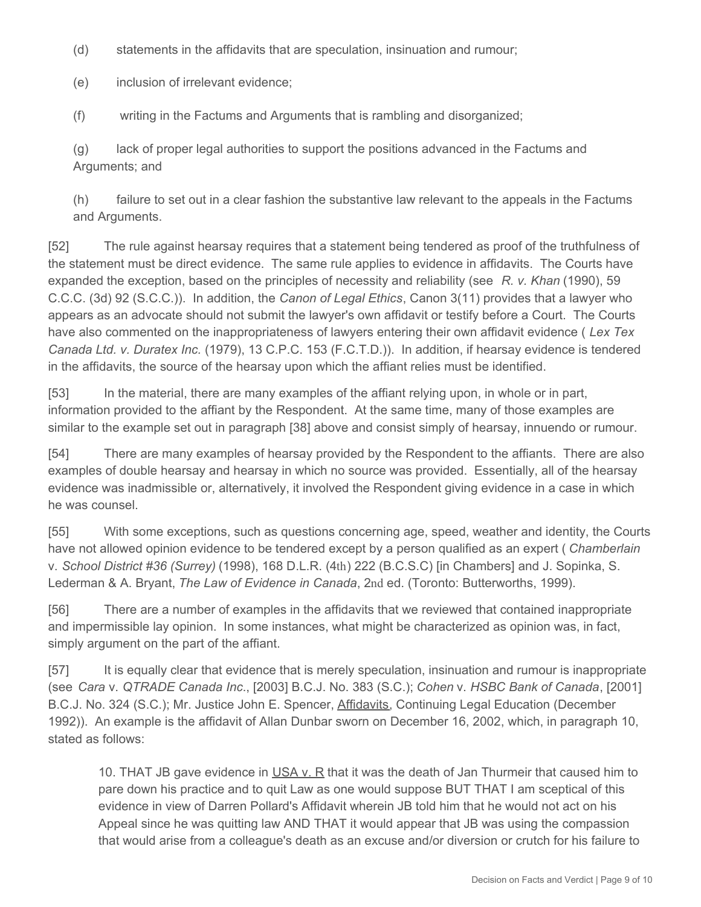(d) statements in the affidavits that are speculation, insinuation and rumour;

(e) inclusion of irrelevant evidence;

(f) writing in the Factums and Arguments that is rambling and disorganized;

(g) lack of proper legal authorities to support the positions advanced in the Factums and Arguments; and

(h) failure to set out in a clear fashion the substantive law relevant to the appeals in the Factums and Arguments.

[52] The rule against hearsay requires that a statement being tendered as proof of the truthfulness of the statement must be direct evidence. The same rule applies to evidence in affidavits. The Courts have expanded the exception, based on the principles of necessity and reliability (see *R. v. Khan* (1990), 59 C.C.C. (3d) 92 (S.C.C.)). In addition, the *Canon of Legal Ethics*, Canon 3(11) provides that a lawyer who appears as an advocate should not submit the lawyer's own affidavit or testify before a Court. The Courts have also commented on the inappropriateness of lawyers entering their own affidavit evidence ( *Lex Tex Canada Ltd. v. Duratex Inc.* (1979), 13 C.P.C. 153 (F.C.T.D.)). In addition, if hearsay evidence is tendered in the affidavits, the source of the hearsay upon which the affiant relies must be identified.

[53] In the material, there are many examples of the affiant relying upon, in whole or in part, information provided to the affiant by the Respondent. At the same time, many of those examples are similar to the example set out in paragraph [38] above and consist simply of hearsay, innuendo or rumour.

[54] There are many examples of hearsay provided by the Respondent to the affiants. There are also examples of double hearsay and hearsay in which no source was provided. Essentially, all of the hearsay evidence was inadmissible or, alternatively, it involved the Respondent giving evidence in a case in which he was counsel.

[55] With some exceptions, such as questions concerning age, speed, weather and identity, the Courts have not allowed opinion evidence to be tendered except by a person qualified as an expert ( *Chamberlain* v. *School District #36 (Surrey)* (1998), 168 D.L.R. (4th) 222 (B.C.S.C) [in Chambers] and J. Sopinka, S. Lederman & A. Bryant, *The Law of Evidence in Canada*, 2nd ed. (Toronto: Butterworths, 1999).

[56] There are a number of examples in the affidavits that we reviewed that contained inappropriate and impermissible lay opinion. In some instances, what might be characterized as opinion was, in fact, simply argument on the part of the affiant.

[57] It is equally clear that evidence that is merely speculation, insinuation and rumour is inappropriate (see *Cara* v. *QTRADE Canada Inc*., [2003] B.C.J. No. 383 (S.C.); *Cohen* v. *HSBC Bank of Canada*, [2001] B.C.J. No. 324 (S.C.); Mr. Justice John E. Spencer, Affidavits, Continuing Legal Education (December 1992)). An example is the affidavit of Allan Dunbar sworn on December 16, 2002, which, in paragraph 10, stated as follows:

10. THAT JB gave evidence in USA v. R that it was the death of Jan Thurmeir that caused him to pare down his practice and to quit Law as one would suppose BUT THAT I am sceptical of this evidence in view of Darren Pollard's Affidavit wherein JB told him that he would not act on his Appeal since he was quitting law AND THAT it would appear that JB was using the compassion that would arise from a colleague's death as an excuse and/or diversion or crutch for his failure to